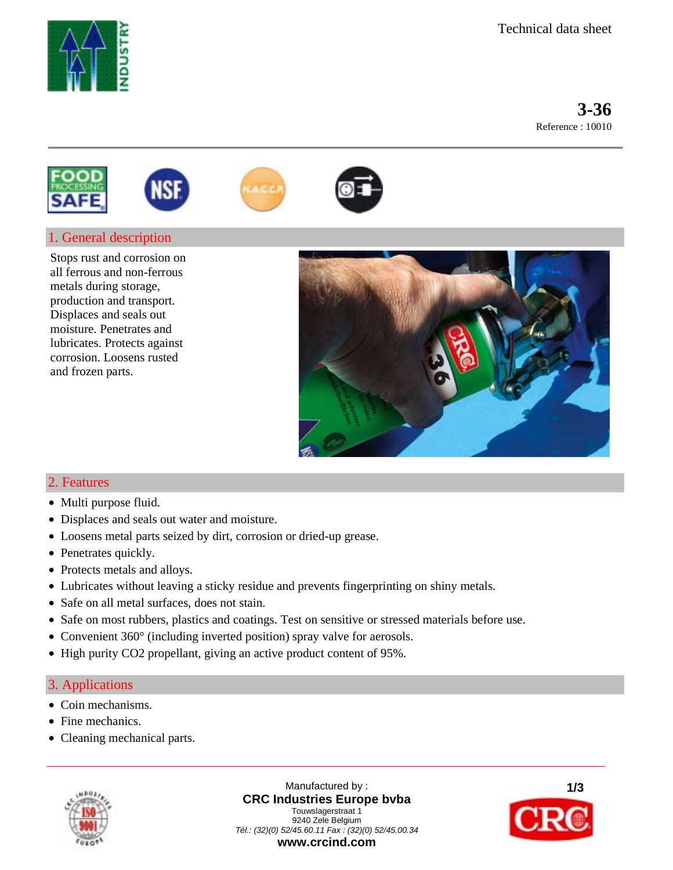

 **3-36**Reference : 10010







# 1. General description

Stops rust and corrosion on all ferrous and non-ferrous metals during storage, production and transport. Displaces and seals out moisture. Penetrates and lubricates. Protects against corrosion. Loosens rusted and frozen parts.



## 2. Features

- Multi purpose fluid.
- Displaces and seals out water and moisture.
- Loosens metal parts seized by dirt, corrosion or dried-up grease.
- Penetrates quickly.
- Protects metals and alloys.
- Lubricates without leaving a sticky residue and prevents fingerprinting on shiny metals.
- Safe on all metal surfaces, does not stain.
- Safe on most rubbers, plastics and coatings. Test on sensitive or stressed materials before use.
- Convenient 360° (including inverted position) spray valve for aerosols.
- High purity CO2 propellant, giving an active product content of 95%.

### 3. Applications

- Coin mechanisms.
- Fine mechanics.
- Cleaning mechanical parts.



Manufactured by : **CRC Industries Europe bvba** Touwslagerstraat 1 9240 Zele Belgium *Tél.: (32)(0) 52/45.60.11 Fax : (32)(0) 52/45.00.34*  **www.crcind.com**

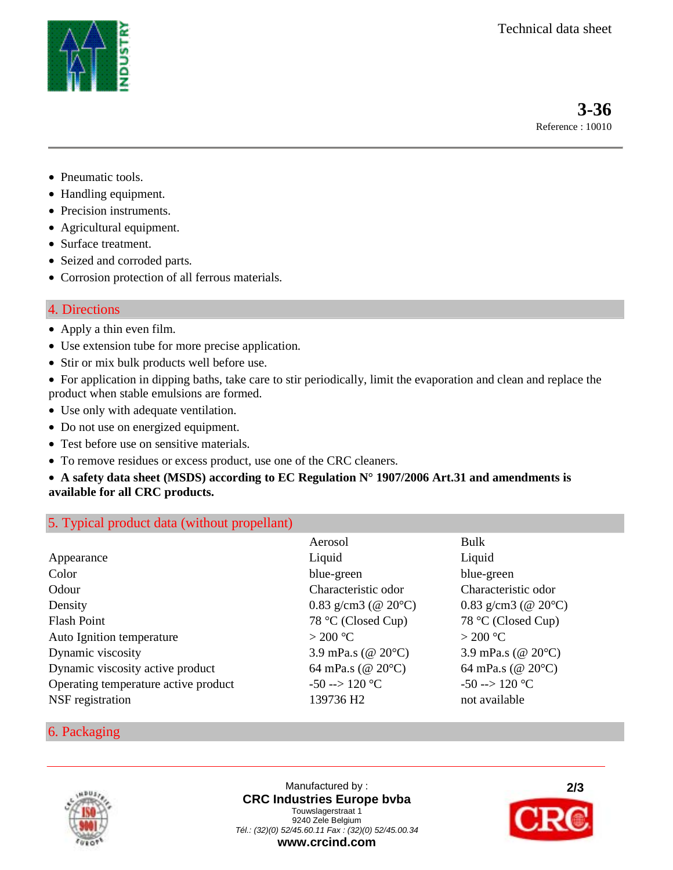

 **3-36**Reference : 10010

- Pneumatic tools.
- Handling equipment.
- Precision instruments.
- Agricultural equipment.
- Surface treatment.
- Seized and corroded parts.
- Corrosion protection of all ferrous materials.

## 4. Directions

- Apply a thin even film.
- Use extension tube for more precise application.
- Stir or mix bulk products well before use.
- For application in dipping baths, take care to stir periodically, limit the evaporation and clean and replace the product when stable emulsions are formed.
- Use only with adequate ventilation.
- Do not use on energized equipment.
- Test before use on sensitive materials.
- To remove residues or excess product, use one of the CRC cleaners.

## • **A safety data sheet (MSDS) according to EC Regulation N° 1907/2006 Art.31 and amendments is available for all CRC products.**

## 5. Typical product data (without propellant)

|                                      | Aerosol                  | Bulk                        |
|--------------------------------------|--------------------------|-----------------------------|
| Appearance                           | Liquid                   | Liquid                      |
| Color                                | blue-green               | blue-green                  |
| Odour                                | Characteristic odor      | Characteristic odor         |
| Density                              | 0.83 g/cm3 ( $@ 20°C$ )  | 0.83 g/cm3 ( $@ 20°C$ )     |
| <b>Flash Point</b>                   | 78 °C (Closed Cup)       | 78 °C (Closed Cup)          |
| Auto Ignition temperature            | $>$ 200 °C               | $>$ 200 °C                  |
| Dynamic viscosity                    | 3.9 mPa.s ( $@ 20°C$ )   | 3.9 mPa.s ( $@ 20°C$ )      |
| Dynamic viscosity active product     | 64 mPa.s ( $@ 20°C$ )    | 64 mPa.s (@ $20^{\circ}$ C) |
| Operating temperature active product | $-50 \rightarrow 120$ °C | $-50 \rightarrow 120$ °C    |
| NSF registration                     | 139736 H <sub>2</sub>    | not available               |

### 6. Packaging



Manufactured by : **CRC Industries Europe bvba** Touwslagerstraat 1 9240 Zele Belgium *Tél.: (32)(0) 52/45.60.11 Fax : (32)(0) 52/45.00.34*  **www.crcind.com**